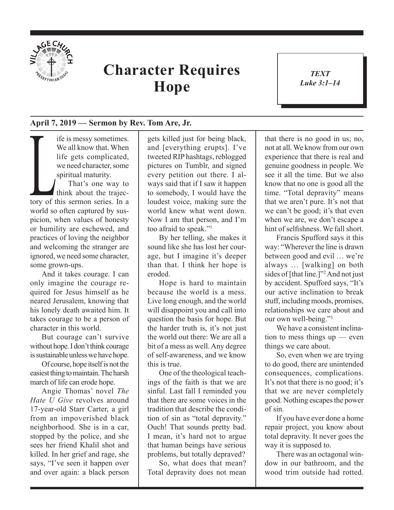

## **Character Requires Hope**

*TEXT Luke 3:1–14* 1

## **April 7, 2019 — Sermon by Rev. Tom Are, Jr.**

If it is messy sometimes.<br>
We all know that. When<br>
life gets complicated,<br>
we need character, some<br>
spiritual maturity.<br>
That's one way to<br>
think about the trajec-<br>
tory of this sermon series. In a We all know that. When life gets complicated, we need character, some spiritual maturity. That's one way to think about the trajecworld so often captured by suspicion, when values of honesty or humility are eschewed, and practices of loving the neighbor and welcoming the stranger are ignored, we need some character, some grown-ups.

And it takes courage. I can only imagine the courage required for Jesus himself as he neared Jerusalem, knowing that his lonely death awaited him. It takes courage to be a person of character in this world.

But courage can't survive without hope. I don't think courage is sustainable unless we have hope.

Of course, hope itself is not the easiest thing to maintain. The harsh march of life can erode hope.

Angie Thomas' novel *The Hate U Give* revolves around 17-year-old Starr Carter, a girl from an impoverished black neighborhood. She is in a car, stopped by the police, and she sees her friend Khalil shot and killed. In her grief and rage, she says, "I've seen it happen over and over again: a black person

gets killed just for being black, and [everything erupts]. I've tweeted RIP hashtags, reblogged pictures on Tumblr, and signed every petition out there. I always said that if I saw it happen to somebody, I would have the loudest voice, making sure the world knew what went down. Now I am that person, and I'm too afraid to speak."1

By her telling, she makes it sound like she has lost her courage, but I imagine it's deeper than that. I think her hope is eroded.

Hope is hard to maintain because the world is a mess. Live long enough, and the world will disappoint you and call into question the basis for hope. But the harder truth is, it's not just the world out there: We are all a bit of a mess as well. Any degree of self-awareness, and we know this is true.

One of the theological teachings of the faith is that we are sinful. Last fall I reminded you that there are some voices in the tradition that describe the condition of sin as "total depravity." Ouch! That sounds pretty bad. I mean, it's hard not to argue that human beings have serious problems, but totally depraved?

So, what does that mean? Total depravity does not mean that there is no good in us; no, not at all. We know from our own experience that there is real and genuine goodness in people. We see it all the time. But we also know that no one is good all the time. "Total depravity" means that we aren't pure. It's not that we can't be good; it's that even when we are, we don't escape a hint of selfishness. We fall short.

Francis Spufford says it this way: "Wherever the line is drawn between good and evil … we're always … [walking] on both sides of [that line.]"2 And not just by accident. Spufford says, "It's our active inclination to break stuff, including moods, promises, relationships we care about and our own well-being."3

We have a consistent inclination to mess things up — even things we care about.

So, even when we are trying to do good, there are unintended consequences, complications. It's not that there is no good; it's that we are never completely good. Nothing escapes the power of sin.

If you have ever done a home repair project, you know about total depravity. It never goes the way it is supposed to.

There was an octagonal window in our bathroom, and the wood trim outside had rotted.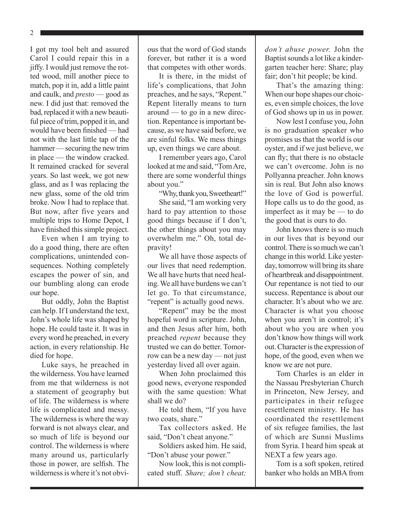2

I got my tool belt and assured Carol I could repair this in a jiffy. I would just remove the rotted wood, mill another piece to match, pop it in, add a little paint and caulk, and *presto* — good as new. I did just that: removed the bad, replaced it with a new beautiful piece of trim, popped it in, and would have been finished — had not with the last little tap of the hammer — securing the new trim in place — the window cracked. It remained cracked for several years. So last week, we got new glass, and as I was replacing the new glass, some of the old trim broke. Now I had to replace that. But now, after five years and multiple trips to Home Depot, I have finished this simple project.

Even when I am trying to do a good thing, there are often complications, unintended consequences. Nothing completely escapes the power of sin, and our bumbling along can erode our hope.

But oddly, John the Baptist can help. If I understand the text, John's whole life was shaped by hope. He could taste it. It was in every word he preached, in every action, in every relationship. He died for hope.

Luke says, he preached in the wilderness. You have learned from me that wilderness is not a statement of geography but of life. The wilderness is where life is complicated and messy. The wilderness is where the way forward is not always clear, and so much of life is beyond our control. The wilderness is where many around us, particularly those in power, are selfish. The wilderness is where it's not obvious that the word of God stands forever, but rather it is a word that competes with other words.

It is there, in the midst of life's complications, that John preaches, and he says, "Repent." Repent literally means to turn around — to go in a new direction. Repentance is important because, as we have said before, we are sinful folks. We mess things up, even things we care about.

I remember years ago, Carol looked at me and said, "Tom Are, there are some wonderful things about you."

"Why, thank you, Sweetheart!"

She said, "I am working very hard to pay attention to those good things because if I don't, the other things about you may overwhelm me." Oh, total depravity!

We all have those aspects of our lives that need redemption. We all have hurts that need healing. We all have burdens we can't let go. To that circumstance, "repent" is actually good news.

"Repent" may be the most hopeful word in scripture. John, and then Jesus after him, both preached *repent* because they trusted we can do better. Tomorrow can be a new day — not just yesterday lived all over again.

When John proclaimed this good news, everyone responded with the same question: What shall we do?

He told them, "If you have two coats, share."

Tax collectors asked. He said, "Don't cheat anyone."

Soldiers asked him. He said, "Don't abuse your power."

Now look, this is not complicated stuff. *Share; don't cheat;*  *don't abuse power.* John the Baptist sounds a lot like a kindergarten teacher here: Share; play fair; don't hit people; be kind.

That's the amazing thing: When our hope shapes our choices, even simple choices, the love of God shows up in us in power.

Now lest I confuse you, John is no graduation speaker who promises us that the world is our oyster, and if we just believe, we can fly; that there is no obstacle we can't overcome. John is no Pollyanna preacher. John knows sin is real. But John also knows the love of God is powerful. Hope calls us to do the good, as imperfect as it may be — to do the good that is ours to do.

John knows there is so much in our lives that is beyond our control. There is so much we can't change in this world. Like yesterday, tomorrow will bring its share of heartbreak and disappointment. Our repentance is not tied to our success. Repentance is about our character. It's about who we are. Character is what you choose when you aren't in control; it's about who you are when you don't know how things will work out. Character is the expression of hope, of the good, even when we know we are not pure.

Tom Charles is an elder in the Nassau Presbyterian Church in Princeton, New Jersey, and participates in their refugee resettlement ministry. He has coordinated the resettlement of six refugee families, the last of which are Sunni Muslims from Syria. I heard him speak at NEXT a few years ago.

Tom is a soft spoken, retired banker who holds an MBA from